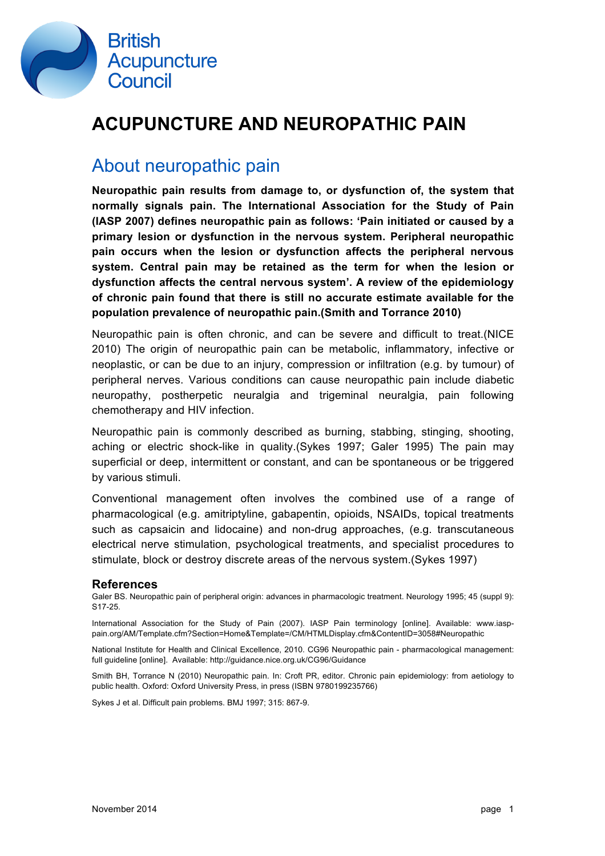

## **ACUPUNCTURE AND NEUROPATHIC PAIN**

### About neuropathic pain

**Neuropathic pain results from damage to, or dysfunction of, the system that normally signals pain. The International Association for the Study of Pain (IASP 2007) defines neuropathic pain as follows: 'Pain initiated or caused by a primary lesion or dysfunction in the nervous system. Peripheral neuropathic pain occurs when the lesion or dysfunction affects the peripheral nervous system. Central pain may be retained as the term for when the lesion or dysfunction affects the central nervous system'. A review of the epidemiology of chronic pain found that there is still no accurate estimate available for the population prevalence of neuropathic pain.(Smith and Torrance 2010)**

Neuropathic pain is often chronic, and can be severe and difficult to treat.(NICE 2010) The origin of neuropathic pain can be metabolic, inflammatory, infective or neoplastic, or can be due to an injury, compression or infiltration (e.g. by tumour) of peripheral nerves. Various conditions can cause neuropathic pain include diabetic neuropathy, postherpetic neuralgia and trigeminal neuralgia, pain following chemotherapy and HIV infection.

Neuropathic pain is commonly described as burning, stabbing, stinging, shooting, aching or electric shock-like in quality.(Sykes 1997; Galer 1995) The pain may superficial or deep, intermittent or constant, and can be spontaneous or be triggered by various stimuli.

Conventional management often involves the combined use of a range of pharmacological (e.g. amitriptyline, gabapentin, opioids, NSAIDs, topical treatments such as capsaicin and lidocaine) and non-drug approaches, (e.g. transcutaneous electrical nerve stimulation, psychological treatments, and specialist procedures to stimulate, block or destroy discrete areas of the nervous system.(Sykes 1997)

#### **References**

Galer BS. Neuropathic pain of peripheral origin: advances in pharmacologic treatment. Neurology 1995; 45 (suppl 9): S17-25.

International Association for the Study of Pain (2007). IASP Pain terminology [online]. Available: www.iasppain.org/AM/Template.cfm?Section=Home&Template=/CM/HTMLDisplay.cfm&ContentID=3058#Neuropathic

National Institute for Health and Clinical Excellence, 2010. CG96 Neuropathic pain - pharmacological management: full guideline [online]. Available: http://guidance.nice.org.uk/CG96/Guidance

Smith BH, Torrance N (2010) Neuropathic pain. In: Croft PR, editor. Chronic pain epidemiology: from aetiology to public health. Oxford: Oxford University Press, in press (ISBN 9780199235766)

Sykes J et al. Difficult pain problems. BMJ 1997; 315: 867-9.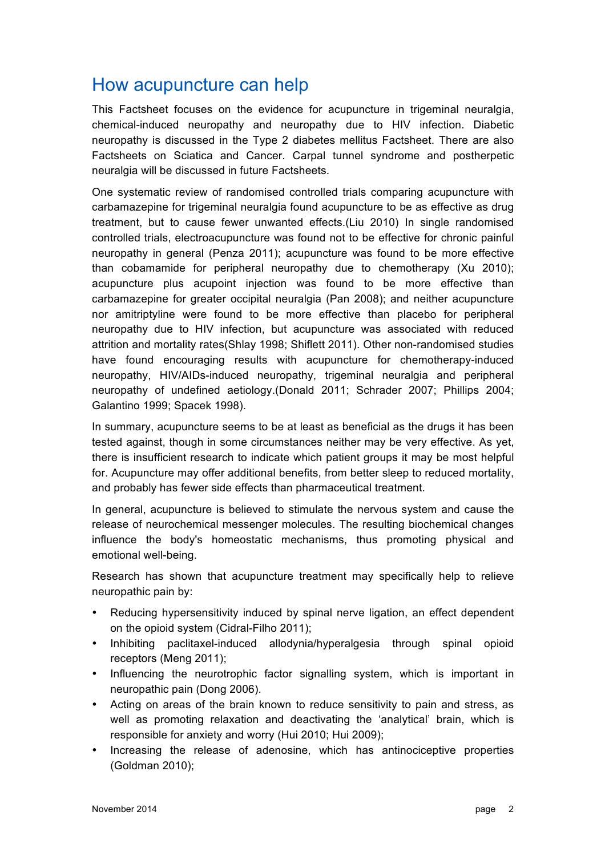## How acupuncture can help

This Factsheet focuses on the evidence for acupuncture in trigeminal neuralgia, chemical-induced neuropathy and neuropathy due to HIV infection. Diabetic neuropathy is discussed in the Type 2 diabetes mellitus Factsheet. There are also Factsheets on Sciatica and Cancer. Carpal tunnel syndrome and postherpetic neuralgia will be discussed in future Factsheets.

One systematic review of randomised controlled trials comparing acupuncture with carbamazepine for trigeminal neuralgia found acupuncture to be as effective as drug treatment, but to cause fewer unwanted effects.(Liu 2010) In single randomised controlled trials, electroacupuncture was found not to be effective for chronic painful neuropathy in general (Penza 2011); acupuncture was found to be more effective than cobamamide for peripheral neuropathy due to chemotherapy (Xu 2010); acupuncture plus acupoint injection was found to be more effective than carbamazepine for greater occipital neuralgia (Pan 2008); and neither acupuncture nor amitriptyline were found to be more effective than placebo for peripheral neuropathy due to HIV infection, but acupuncture was associated with reduced attrition and mortality rates(Shlay 1998; Shiflett 2011). Other non-randomised studies have found encouraging results with acupuncture for chemotherapy-induced neuropathy, HIV/AIDs-induced neuropathy, trigeminal neuralgia and peripheral neuropathy of undefined aetiology.(Donald 2011; Schrader 2007; Phillips 2004; Galantino 1999; Spacek 1998).

In summary, acupuncture seems to be at least as beneficial as the drugs it has been tested against, though in some circumstances neither may be very effective. As yet, there is insufficient research to indicate which patient groups it may be most helpful for. Acupuncture may offer additional benefits, from better sleep to reduced mortality, and probably has fewer side effects than pharmaceutical treatment.

In general, acupuncture is believed to stimulate the nervous system and cause the release of neurochemical messenger molecules. The resulting biochemical changes influence the body's homeostatic mechanisms, thus promoting physical and emotional well-being.

Research has shown that acupuncture treatment may specifically help to relieve neuropathic pain by:

- Reducing hypersensitivity induced by spinal nerve ligation, an effect dependent on the opioid system (Cidral-Filho 2011);
- Inhibiting paclitaxel-induced allodynia/hyperalgesia through spinal opioid receptors (Meng 2011);
- Influencing the neurotrophic factor signalling system, which is important in neuropathic pain (Dong 2006).
- Acting on areas of the brain known to reduce sensitivity to pain and stress, as well as promoting relaxation and deactivating the 'analytical' brain, which is responsible for anxiety and worry (Hui 2010; Hui 2009);
- Increasing the release of adenosine, which has antinociceptive properties (Goldman 2010);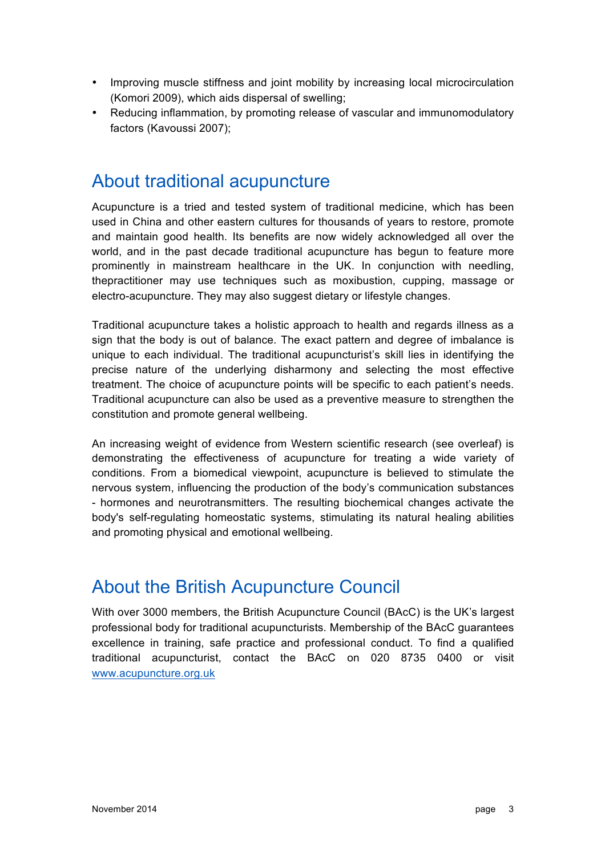- Improving muscle stiffness and joint mobility by increasing local microcirculation (Komori 2009), which aids dispersal of swelling;
- Reducing inflammation, by promoting release of vascular and immunomodulatory factors (Kavoussi 2007);

### About traditional acupuncture

Acupuncture is a tried and tested system of traditional medicine, which has been used in China and other eastern cultures for thousands of years to restore, promote and maintain good health. Its benefits are now widely acknowledged all over the world, and in the past decade traditional acupuncture has begun to feature more prominently in mainstream healthcare in the UK. In conjunction with needling, thepractitioner may use techniques such as moxibustion, cupping, massage or electro-acupuncture. They may also suggest dietary or lifestyle changes.

Traditional acupuncture takes a holistic approach to health and regards illness as a sign that the body is out of balance. The exact pattern and degree of imbalance is unique to each individual. The traditional acupuncturist's skill lies in identifying the precise nature of the underlying disharmony and selecting the most effective treatment. The choice of acupuncture points will be specific to each patient's needs. Traditional acupuncture can also be used as a preventive measure to strengthen the constitution and promote general wellbeing.

An increasing weight of evidence from Western scientific research (see overleaf) is demonstrating the effectiveness of acupuncture for treating a wide variety of conditions. From a biomedical viewpoint, acupuncture is believed to stimulate the nervous system, influencing the production of the body's communication substances - hormones and neurotransmitters. The resulting biochemical changes activate the body's self-regulating homeostatic systems, stimulating its natural healing abilities and promoting physical and emotional wellbeing.

### About the British Acupuncture Council

With over 3000 members, the British Acupuncture Council (BAcC) is the UK's largest professional body for traditional acupuncturists. Membership of the BAcC guarantees excellence in training, safe practice and professional conduct. To find a qualified traditional acupuncturist, contact the BAcC on 020 8735 0400 or visit www.acupuncture.org.uk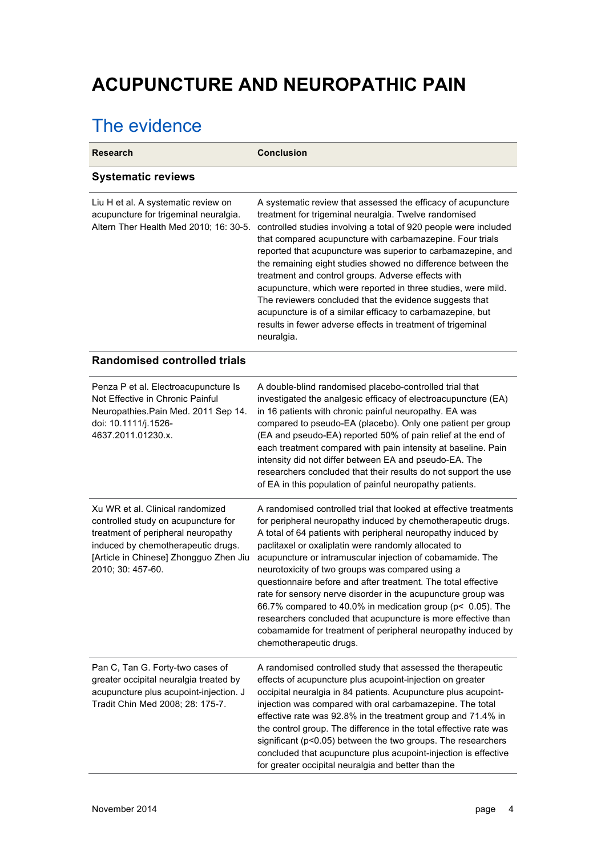# **ACUPUNCTURE AND NEUROPATHIC PAIN**

## The evidence

| <b>Research</b>                                                                                                                                                                                                    | <b>Conclusion</b>                                                                                                                                                                                                                                                                                                                                                                                                                                                                                                                                                                                                                                                                                                                     |
|--------------------------------------------------------------------------------------------------------------------------------------------------------------------------------------------------------------------|---------------------------------------------------------------------------------------------------------------------------------------------------------------------------------------------------------------------------------------------------------------------------------------------------------------------------------------------------------------------------------------------------------------------------------------------------------------------------------------------------------------------------------------------------------------------------------------------------------------------------------------------------------------------------------------------------------------------------------------|
| <b>Systematic reviews</b>                                                                                                                                                                                          |                                                                                                                                                                                                                                                                                                                                                                                                                                                                                                                                                                                                                                                                                                                                       |
| Liu H et al. A systematic review on<br>acupuncture for trigeminal neuralgia.<br>Altern Ther Health Med 2010; 16: 30-5.                                                                                             | A systematic review that assessed the efficacy of acupuncture<br>treatment for trigeminal neuralgia. Twelve randomised<br>controlled studies involving a total of 920 people were included<br>that compared acupuncture with carbamazepine. Four trials<br>reported that acupuncture was superior to carbamazepine, and<br>the remaining eight studies showed no difference between the<br>treatment and control groups. Adverse effects with<br>acupuncture, which were reported in three studies, were mild.<br>The reviewers concluded that the evidence suggests that<br>acupuncture is of a similar efficacy to carbamazepine, but<br>results in fewer adverse effects in treatment of trigeminal<br>neuralgia.                  |
| <b>Randomised controlled trials</b>                                                                                                                                                                                |                                                                                                                                                                                                                                                                                                                                                                                                                                                                                                                                                                                                                                                                                                                                       |
| Penza P et al. Electroacupuncture Is<br>Not Effective in Chronic Painful<br>Neuropathies. Pain Med. 2011 Sep 14.<br>doi: 10.1111/j.1526-<br>4637.2011.01230.x.                                                     | A double-blind randomised placebo-controlled trial that<br>investigated the analgesic efficacy of electroacupuncture (EA)<br>in 16 patients with chronic painful neuropathy. EA was<br>compared to pseudo-EA (placebo). Only one patient per group<br>(EA and pseudo-EA) reported 50% of pain relief at the end of<br>each treatment compared with pain intensity at baseline. Pain<br>intensity did not differ between EA and pseudo-EA. The<br>researchers concluded that their results do not support the use<br>of EA in this population of painful neuropathy patients.                                                                                                                                                          |
| Xu WR et al. Clinical randomized<br>controlled study on acupuncture for<br>treatment of peripheral neuropathy<br>induced by chemotherapeutic drugs.<br>[Article in Chinese] Zhongguo Zhen Jiu<br>2010; 30: 457-60. | A randomised controlled trial that looked at effective treatments<br>for peripheral neuropathy induced by chemotherapeutic drugs.<br>A total of 64 patients with peripheral neuropathy induced by<br>paclitaxel or oxaliplatin were randomly allocated to<br>acupuncture or intramuscular injection of cobamamide. The<br>neurotoxicity of two groups was compared using a<br>questionnaire before and after treatment. The total effective<br>rate for sensory nerve disorder in the acupuncture group was<br>66.7% compared to 40.0% in medication group (p< 0.05). The<br>researchers concluded that acupuncture is more effective than<br>cobamamide for treatment of peripheral neuropathy induced by<br>chemotherapeutic drugs. |
| Pan C, Tan G. Forty-two cases of<br>greater occipital neuralgia treated by<br>acupuncture plus acupoint-injection. J<br>Tradit Chin Med 2008; 28: 175-7.                                                           | A randomised controlled study that assessed the therapeutic<br>effects of acupuncture plus acupoint-injection on greater<br>occipital neuralgia in 84 patients. Acupuncture plus acupoint-<br>injection was compared with oral carbamazepine. The total<br>effective rate was 92.8% in the treatment group and 71.4% in<br>the control group. The difference in the total effective rate was<br>significant (p<0.05) between the two groups. The researchers<br>concluded that acupuncture plus acupoint-injection is effective<br>for greater occipital neuralgia and better than the                                                                                                                                                |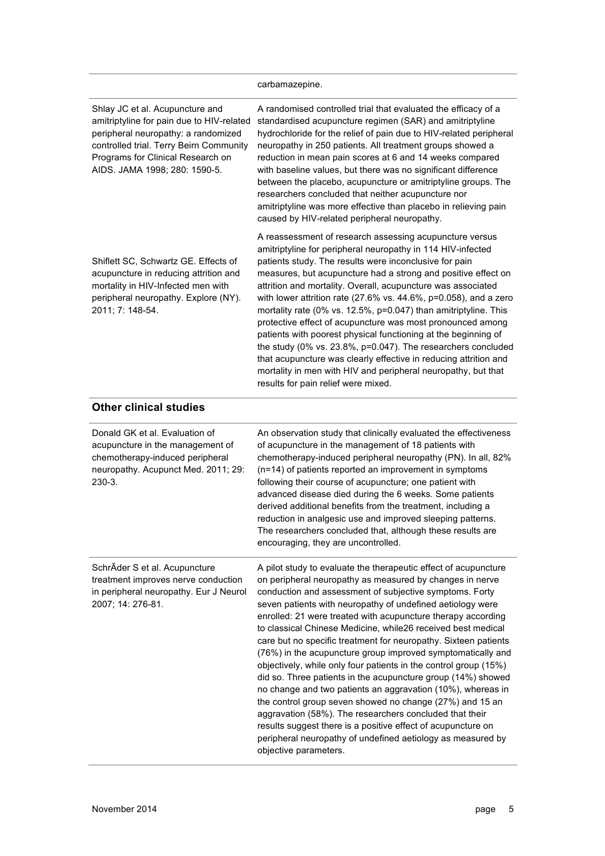|                                                                                                                                                                                                                                      | carbamazepine.                                                                                                                                                                                                                                                                                                                                                                                                                                                                                                                                                                                                                                                                                                                                                                                                                           |
|--------------------------------------------------------------------------------------------------------------------------------------------------------------------------------------------------------------------------------------|------------------------------------------------------------------------------------------------------------------------------------------------------------------------------------------------------------------------------------------------------------------------------------------------------------------------------------------------------------------------------------------------------------------------------------------------------------------------------------------------------------------------------------------------------------------------------------------------------------------------------------------------------------------------------------------------------------------------------------------------------------------------------------------------------------------------------------------|
| Shlay JC et al. Acupuncture and<br>amitriptyline for pain due to HIV-related<br>peripheral neuropathy: a randomized<br>controlled trial. Terry Beirn Community<br>Programs for Clinical Research on<br>AIDS. JAMA 1998; 280: 1590-5. | A randomised controlled trial that evaluated the efficacy of a<br>standardised acupuncture regimen (SAR) and amitriptyline<br>hydrochloride for the relief of pain due to HIV-related peripheral<br>neuropathy in 250 patients. All treatment groups showed a<br>reduction in mean pain scores at 6 and 14 weeks compared<br>with baseline values, but there was no significant difference<br>between the placebo, acupuncture or amitriptyline groups. The<br>researchers concluded that neither acupuncture nor<br>amitriptyline was more effective than placebo in relieving pain<br>caused by HIV-related peripheral neuropathy.                                                                                                                                                                                                     |
| Shiflett SC, Schwartz GE. Effects of<br>acupuncture in reducing attrition and<br>mortality in HIV-Infected men with<br>peripheral neuropathy. Explore (NY).<br>2011; 7: 148-54.                                                      | A reassessment of research assessing acupuncture versus<br>amitriptyline for peripheral neuropathy in 114 HIV-infected<br>patients study. The results were inconclusive for pain<br>measures, but acupuncture had a strong and positive effect on<br>attrition and mortality. Overall, acupuncture was associated<br>with lower attrition rate (27.6% vs. $44.6\%$ , p=0.058), and a zero<br>mortality rate (0% vs. 12.5%, p=0.047) than amitriptyline. This<br>protective effect of acupuncture was most pronounced among<br>patients with poorest physical functioning at the beginning of<br>the study (0% vs. 23.8%, p=0.047). The researchers concluded<br>that acupuncture was clearly effective in reducing attrition and<br>mortality in men with HIV and peripheral neuropathy, but that<br>results for pain relief were mixed. |
| <b>Other clinical studies</b>                                                                                                                                                                                                        |                                                                                                                                                                                                                                                                                                                                                                                                                                                                                                                                                                                                                                                                                                                                                                                                                                          |
| Donald GK et al. Evaluation of<br>acupuncture in the management of<br>chemotherapy-induced peripheral<br>neuropathy. Acupunct Med. 2011; 29:<br>230-3.                                                                               | An observation study that clinically evaluated the effectiveness<br>of acupuncture in the management of 18 patients with<br>chemotherapy-induced peripheral neuropathy (PN). In all, 82%<br>(n=14) of patients reported an improvement in symptoms<br>following their course of acupuncture; one patient with<br>advanced disease died during the 6 weeks. Some patients<br>derived additional benefits from the treatment, including a<br>reduction in analgesic use and improved sleeping patterns.<br>The researchers concluded that, although these results are<br>encouraging, they are uncontrolled.                                                                                                                                                                                                                               |
| SchrÄder S et al. Acupuncture<br>treatment improves nerve conduction<br>in peripheral neuropathy. Eur J Neurol<br>2007; 14: 276-81.                                                                                                  | A pilot study to evaluate the therapeutic effect of acupuncture<br>on peripheral neuropathy as measured by changes in nerve<br>conduction and assessment of subjective symptoms. Forty<br>seven patients with neuropathy of undefined aetiology were<br>enrolled: 21 were treated with acupuncture therapy according<br>to classical Chinese Medicine, while26 received best medical<br>care but no specific treatment for neuropathy. Sixteen patients<br>(76%) in the acupuncture group improved symptomatically and<br>objectively, while only four patients in the control group (15%)<br>did so. Three patients in the acupuncture group (14%) showed<br>no change and two patients an aggravation (10%), whereas in                                                                                                                |

objective parameters.

the control group seven showed no change (27%) and 15 an aggravation (58%). The researchers concluded that their results suggest there is a positive effect of acupuncture on peripheral neuropathy of undefined aetiology as measured by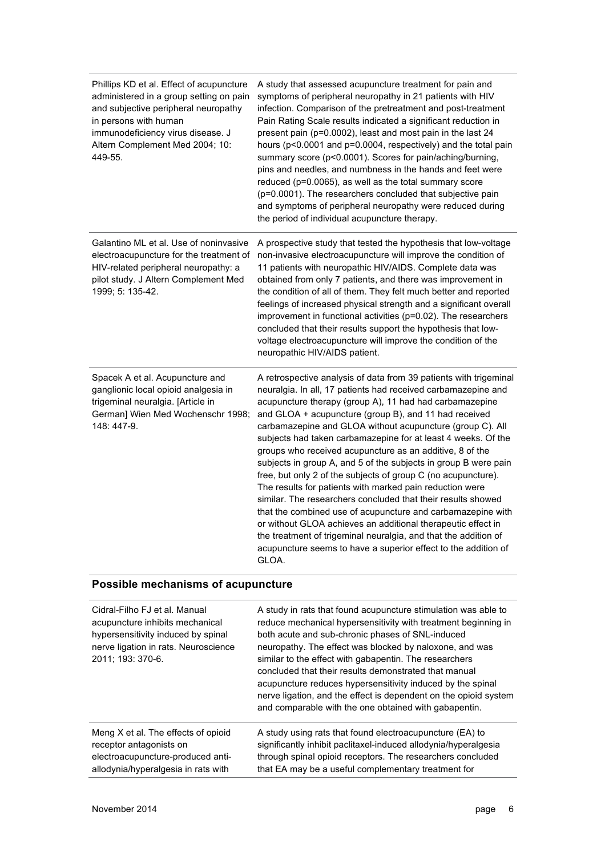| Phillips KD et al. Effect of acupuncture<br>administered in a group setting on pain<br>and subjective peripheral neuropathy<br>in persons with human<br>immunodeficiency virus disease. J<br>Altern Complement Med 2004; 10:<br>449-55. | A study that assessed acupuncture treatment for pain and<br>symptoms of peripheral neuropathy in 21 patients with HIV<br>infection. Comparison of the pretreatment and post-treatment<br>Pain Rating Scale results indicated a significant reduction in<br>present pain (p=0.0002), least and most pain in the last 24<br>hours (p<0.0001 and p=0.0004, respectively) and the total pain<br>summary score (p<0.0001). Scores for pain/aching/burning,<br>pins and needles, and numbness in the hands and feet were<br>reduced (p=0.0065), as well as the total summary score<br>(p=0.0001). The researchers concluded that subjective pain<br>and symptoms of peripheral neuropathy were reduced during<br>the period of individual acupuncture therapy.                                                                                                                                                                                                                                      |
|-----------------------------------------------------------------------------------------------------------------------------------------------------------------------------------------------------------------------------------------|-----------------------------------------------------------------------------------------------------------------------------------------------------------------------------------------------------------------------------------------------------------------------------------------------------------------------------------------------------------------------------------------------------------------------------------------------------------------------------------------------------------------------------------------------------------------------------------------------------------------------------------------------------------------------------------------------------------------------------------------------------------------------------------------------------------------------------------------------------------------------------------------------------------------------------------------------------------------------------------------------|
| Galantino ML et al. Use of noninvasive<br>electroacupuncture for the treatment of<br>HIV-related peripheral neuropathy: a<br>pilot study. J Altern Complement Med<br>1999; 5: 135-42.                                                   | A prospective study that tested the hypothesis that low-voltage<br>non-invasive electroacupuncture will improve the condition of<br>11 patients with neuropathic HIV/AIDS. Complete data was<br>obtained from only 7 patients, and there was improvement in<br>the condition of all of them. They felt much better and reported<br>feelings of increased physical strength and a significant overall<br>improvement in functional activities (p=0.02). The researchers<br>concluded that their results support the hypothesis that low-<br>voltage electroacupuncture will improve the condition of the<br>neuropathic HIV/AIDS patient.                                                                                                                                                                                                                                                                                                                                                      |
| Spacek A et al. Acupuncture and<br>ganglionic local opioid analgesia in<br>trigeminal neuralgia. [Article in<br>German] Wien Med Wochenschr 1998;<br>148: 447-9.                                                                        | A retrospective analysis of data from 39 patients with trigeminal<br>neuralgia. In all, 17 patients had received carbamazepine and<br>acupuncture therapy (group A), 11 had had carbamazepine<br>and GLOA + acupuncture (group B), and 11 had received<br>carbamazepine and GLOA without acupuncture (group C). All<br>subjects had taken carbamazepine for at least 4 weeks. Of the<br>groups who received acupuncture as an additive, 8 of the<br>subjects in group A, and 5 of the subjects in group B were pain<br>free, but only 2 of the subjects of group C (no acupuncture).<br>The results for patients with marked pain reduction were<br>similar. The researchers concluded that their results showed<br>that the combined use of acupuncture and carbamazepine with<br>or without GLOA achieves an additional therapeutic effect in<br>the treatment of trigeminal neuralgia, and that the addition of<br>acupuncture seems to have a superior effect to the addition of<br>GLOA. |

#### **Possible mechanisms of acupuncture**

| Cidral-Filho FJ et al. Manual<br>acupuncture inhibits mechanical<br>hypersensitivity induced by spinal<br>nerve ligation in rats. Neuroscience<br>2011; 193: 370-6. | A study in rats that found acupuncture stimulation was able to<br>reduce mechanical hypersensitivity with treatment beginning in<br>both acute and sub-chronic phases of SNL-induced<br>neuropathy. The effect was blocked by naloxone, and was<br>similar to the effect with gabapentin. The researchers<br>concluded that their results demonstrated that manual<br>acupuncture reduces hypersensitivity induced by the spinal<br>nerve ligation, and the effect is dependent on the opioid system<br>and comparable with the one obtained with gabapentin. |
|---------------------------------------------------------------------------------------------------------------------------------------------------------------------|---------------------------------------------------------------------------------------------------------------------------------------------------------------------------------------------------------------------------------------------------------------------------------------------------------------------------------------------------------------------------------------------------------------------------------------------------------------------------------------------------------------------------------------------------------------|
| Meng X et al. The effects of opioid                                                                                                                                 | A study using rats that found electroacupuncture (EA) to                                                                                                                                                                                                                                                                                                                                                                                                                                                                                                      |
| receptor antagonists on                                                                                                                                             | significantly inhibit paclitaxel-induced allodynia/hyperalgesia                                                                                                                                                                                                                                                                                                                                                                                                                                                                                               |
| electroacupuncture-produced anti-                                                                                                                                   | through spinal opioid receptors. The researchers concluded                                                                                                                                                                                                                                                                                                                                                                                                                                                                                                    |
| allodynia/hyperalgesia in rats with                                                                                                                                 | that EA may be a useful complementary treatment for                                                                                                                                                                                                                                                                                                                                                                                                                                                                                                           |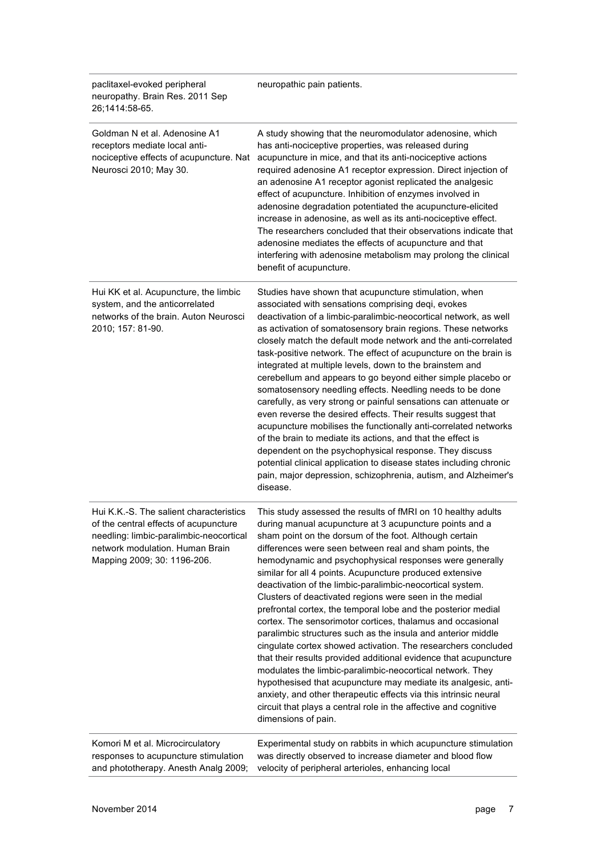| paclitaxel-evoked peripheral<br>neuropathy. Brain Res. 2011 Sep<br>26;1414:58-65.                                                                                                             | neuropathic pain patients.                                                                                                                                                                                                                                                                                                                                                                                                                                                                                                                                                                                                                                                                                                                                                                                                                                                                                                                                                                                                                                                                                                    |
|-----------------------------------------------------------------------------------------------------------------------------------------------------------------------------------------------|-------------------------------------------------------------------------------------------------------------------------------------------------------------------------------------------------------------------------------------------------------------------------------------------------------------------------------------------------------------------------------------------------------------------------------------------------------------------------------------------------------------------------------------------------------------------------------------------------------------------------------------------------------------------------------------------------------------------------------------------------------------------------------------------------------------------------------------------------------------------------------------------------------------------------------------------------------------------------------------------------------------------------------------------------------------------------------------------------------------------------------|
| Goldman N et al. Adenosine A1<br>receptors mediate local anti-<br>nociceptive effects of acupuncture. Nat<br>Neurosci 2010; May 30.                                                           | A study showing that the neuromodulator adenosine, which<br>has anti-nociceptive properties, was released during<br>acupuncture in mice, and that its anti-nociceptive actions<br>required adenosine A1 receptor expression. Direct injection of<br>an adenosine A1 receptor agonist replicated the analgesic<br>effect of acupuncture. Inhibition of enzymes involved in<br>adenosine degradation potentiated the acupuncture-elicited<br>increase in adenosine, as well as its anti-nociceptive effect.<br>The researchers concluded that their observations indicate that<br>adenosine mediates the effects of acupuncture and that<br>interfering with adenosine metabolism may prolong the clinical<br>benefit of acupuncture.                                                                                                                                                                                                                                                                                                                                                                                           |
| Hui KK et al. Acupuncture, the limbic<br>system, and the anticorrelated<br>networks of the brain. Auton Neurosci<br>2010; 157: 81-90.                                                         | Studies have shown that acupuncture stimulation, when<br>associated with sensations comprising deqi, evokes<br>deactivation of a limbic-paralimbic-neocortical network, as well<br>as activation of somatosensory brain regions. These networks<br>closely match the default mode network and the anti-correlated<br>task-positive network. The effect of acupuncture on the brain is<br>integrated at multiple levels, down to the brainstem and<br>cerebellum and appears to go beyond either simple placebo or<br>somatosensory needling effects. Needling needs to be done<br>carefully, as very strong or painful sensations can attenuate or<br>even reverse the desired effects. Their results suggest that<br>acupuncture mobilises the functionally anti-correlated networks<br>of the brain to mediate its actions, and that the effect is<br>dependent on the psychophysical response. They discuss<br>potential clinical application to disease states including chronic<br>pain, major depression, schizophrenia, autism, and Alzheimer's<br>disease.                                                            |
| Hui K.K.-S. The salient characteristics<br>of the central effects of acupuncture<br>needling: limbic-paralimbic-neocortical<br>network modulation. Human Brain<br>Mapping 2009; 30: 1196-206. | This study assessed the results of fMRI on 10 healthy adults<br>during manual acupuncture at 3 acupuncture points and a<br>sham point on the dorsum of the foot. Although certain<br>differences were seen between real and sham points, the<br>hemodynamic and psychophysical responses were generally<br>similar for all 4 points. Acupuncture produced extensive<br>deactivation of the limbic-paralimbic-neocortical system.<br>Clusters of deactivated regions were seen in the medial<br>prefrontal cortex, the temporal lobe and the posterior medial<br>cortex. The sensorimotor cortices, thalamus and occasional<br>paralimbic structures such as the insula and anterior middle<br>cingulate cortex showed activation. The researchers concluded<br>that their results provided additional evidence that acupuncture<br>modulates the limbic-paralimbic-neocortical network. They<br>hypothesised that acupuncture may mediate its analgesic, anti-<br>anxiety, and other therapeutic effects via this intrinsic neural<br>circuit that plays a central role in the affective and cognitive<br>dimensions of pain. |
| Komori M et al. Microcirculatory<br>responses to acupuncture stimulation<br>and phototherapy. Anesth Analg 2009;                                                                              | Experimental study on rabbits in which acupuncture stimulation<br>was directly observed to increase diameter and blood flow<br>velocity of peripheral arterioles, enhancing local                                                                                                                                                                                                                                                                                                                                                                                                                                                                                                                                                                                                                                                                                                                                                                                                                                                                                                                                             |